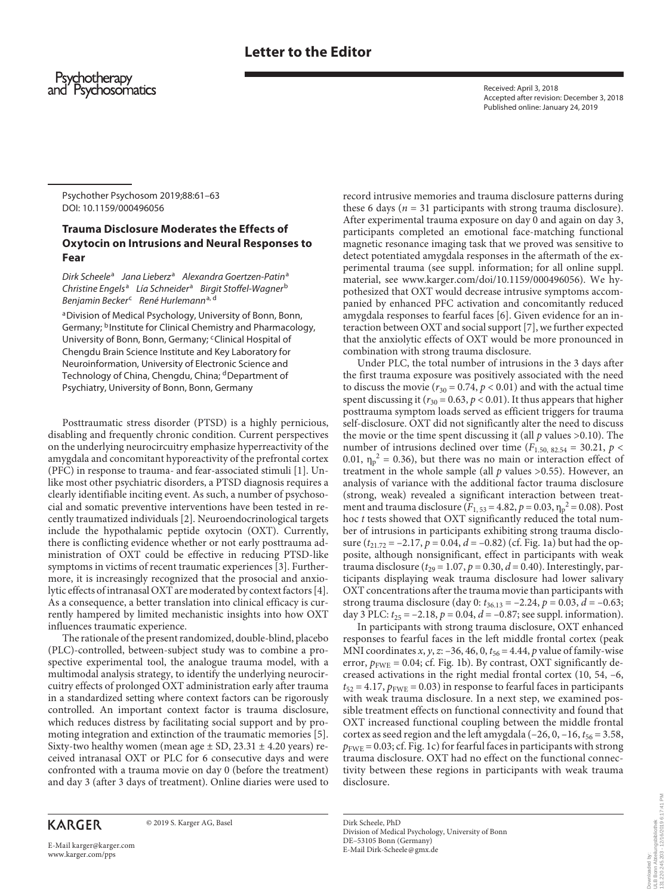# **Letter to the Editor**



Received: April 3, 2018 Accepted after revision: December 3, 2018 Published online: January 24, 2019

Psychother Psychosom 2019;88:61–63 DOI: 10.1159/000496056

### **Trauma Disclosure Moderates the Effects of Oxytocin on Intrusions and Neural Responses to Fear**

*Dirk Scheele*<sup>a</sup>  *Jana Lieberz*<sup>a</sup>  *Alexandra Goertzen-Patin*<sup>a</sup>  *Christine Engels*<sup>a</sup>  *Lía Schneider*<sup>a</sup>  *Birgit Stoffel-Wagner*<sup>b</sup> *Benjamin Becker*<sup>c</sup>  *René Hurlemann*a, <sup>d</sup>

aDivision of Medical Psychology, University of Bonn, Bonn, Germany; <sup>b</sup>Institute for Clinical Chemistry and Pharmacology, University of Bonn, Bonn, Germany; <sup>c</sup>Clinical Hospital of Chengdu Brain Science Institute and Key Laboratory for Neuroinformation, University of Electronic Science and Technology of China, Chengdu, China; dDepartment of Psychiatry, University of Bonn, Bonn, Germany

<span id="page-0-0"></span>Posttraumatic stress disorder (PTSD) is a highly pernicious, disabling and frequently chronic condition. Current perspectives on the underlying neurocircuitry emphasize hyperreactivity of the amygdala and concomitant hyporeactivity of the prefrontal cortex (PFC) in response to trauma- and fear-associated stimuli [[1](#page-2-2)]. Unlike most other psychiatric disorders, a PTSD diagnosis requires a clearly identifiable inciting event. As such, a number of psychosocial and somatic preventive interventions have been tested in recently traumatized individuals [\[2\]](#page-2-3). Neuroendocrinological targets include the hypothalamic peptide oxytocin (OXT). Currently, there is conflicting evidence whether or not early posttrauma administration of OXT could be effective in reducing PTSD-like symptoms in victims of recent traumatic experiences [[3](#page-2-4)]. Furthermore, it is increasingly recognized that the prosocial and anxiolytic effects of intranasal OXT are moderated by context factors [\[4\]](#page-2-5). As a consequence, a better translation into clinical efficacy is currently hampered by limited mechanistic insights into how OXT influences traumatic experience.

The rationale of the present randomized, double-blind, placebo (PLC)-controlled, between-subject study was to combine a prospective experimental tool, the analogue trauma model, with a multimodal analysis strategy, to identify the underlying neurocircuitry effects of prolonged OXT administration early after trauma in a standardized setting where context factors can be rigorously controlled. An important context factor is trauma disclosure, which reduces distress by facilitating social support and by promoting integration and extinction of the traumatic memories [\[5\]](#page-2-6). Sixty-two healthy women (mean age  $\pm$  SD, 23.31  $\pm$  4.20 years) received intranasal OXT or PLC for 6 consecutive days and were confronted with a trauma movie on day 0 (before the treatment) and day 3 (after 3 days of treatment). Online diaries were used to

# **KARGER**

© 2019 S. Karger AG, Basel

E-Mail karger@karger.com www.karger.com/pps

record intrusive memories and trauma disclosure patterns during these 6 days ( $n = 31$  participants with strong trauma disclosure). After experimental trauma exposure on day 0 and again on day 3, participants completed an emotional face-matching functional magnetic resonance imaging task that we proved was sensitive to detect potentiated amygdala responses in the aftermath of the experimental trauma (see suppl. information; for all online suppl. material, see www.karger.com/doi/10.1159/000496056). We hypothesized that OXT would decrease intrusive symptoms accompanied by enhanced PFC activation and concomitantly reduced amygdala responses to fearful faces [\[6\]](#page-2-0). Given evidence for an interaction between OXT and social support [\[7\]](#page-2-1), we further expected that the anxiolytic effects of OXT would be more pronounced in combination with strong trauma disclosure.

Under PLC, the total number of intrusions in the 3 days after the first trauma exposure was positively associated with the need to discuss the movie ( $r_{30}$  = 0.74,  $p$  < 0.01) and with the actual time spent discussing it ( $r_{30}$  = 0.63,  $p$  < 0.01). It thus appears that higher posttrauma symptom loads served as efficient triggers for trauma self-disclosure. OXT did not significantly alter the need to discuss the movie or the time spent discussing it (all *p* values >0.10). The number of intrusions declined over time ( $F_{1.50, 82.54} = 30.21, p <$ 0.01,  $\eta_p^2 = 0.36$ ), but there was no main or interaction effect of treatment in the whole sample (all *p* values >0.55). However, an analysis of variance with the additional factor trauma disclosure (strong, weak) revealed a significant interaction between treatment and trauma disclosure  $(F_{1, 53} = 4.82, p = 0.03, \eta_p^2 = 0.08)$ . Post hoc *t* tests showed that OXT significantly reduced the total number of intrusions in participants exhibiting strong trauma disclosure ( $t_{21.72} = -2.17$ ,  $p = 0.04$ ,  $d = -0.82$ ) (cf. Fig. 1a) but had the opposite, although nonsignificant, effect in participants with weak trauma disclosure ( $t_{29}$  = 1.07,  $p$  = 0.30,  $d$  = 0.40). Interestingly, participants displaying weak trauma disclosure had lower salivary OXT concentrations after the trauma movie than participants with strong trauma disclosure (day 0: *t*36.13 = –2.24, *p* = 0.03, *d* = –0.63; day 3 PLC:  $t_{25} = -2.18$ ,  $p = 0.04$ ,  $d = -0.87$ ; see suppl. information).

In participants with strong trauma disclosure, OXT enhanced responses to fearful faces in the left middle frontal cortex (peak MNI coordinates *x*, *y*, *z*: –36, 46, 0,  $t_{56} = 4.44$ , *p* value of family-wise error,  $p_{\text{FWE}} = 0.04$ ; cf. Fig. 1b). By contrast, OXT significantly decreased activations in the right medial frontal cortex (10, 54, –6,  $t_{52} = 4.17$ ,  $p_{\text{FWE}} = 0.03$ ) in response to fearful faces in participants with weak trauma disclosure. In a next step, we examined possible treatment effects on functional connectivity and found that OXT increased functional coupling between the middle frontal cortex as seed region and the left amygdala  $(-26, 0, -16, t_{56} = 3.58,$  $p_{\text{FWE}} = 0.03$ ; cf. Fig. 1c) for fearful faces in participants with strong trauma disclosure. OXT had no effect on the functional connectivity between these regions in participants with weak trauma disclosure.

Dirk Scheele, PhD Division of Medical Psychology, University of Bonn DE–53105 Bonn (Germany) E-Mail Dirk-Scheele@gmx.de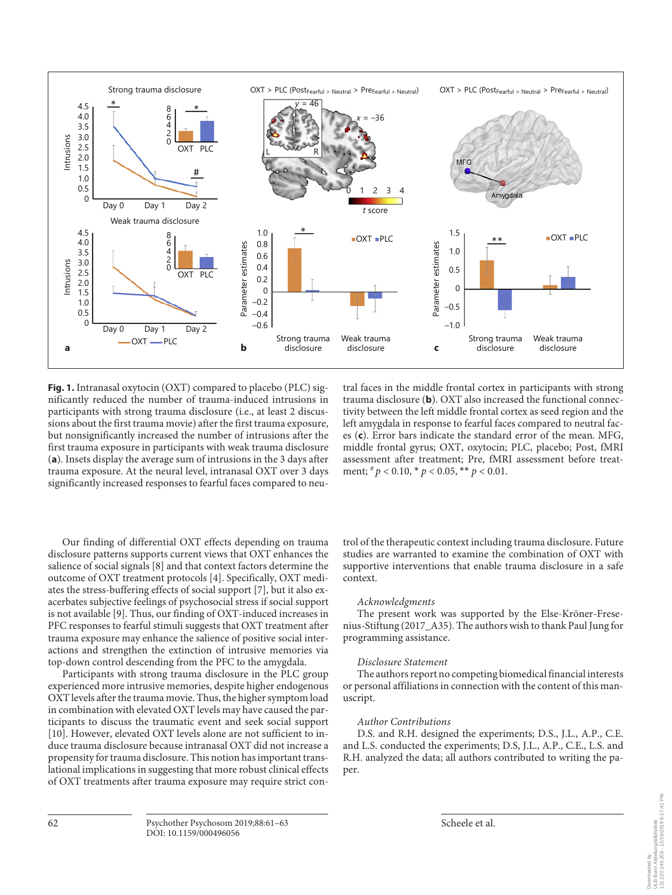

**Fig. 1.** Intranasal oxytocin (OXT) compared to placebo (PLC) significantly reduced the number of trauma-induced intrusions in participants with strong trauma disclosure (i.e., at least 2 discussions about the first trauma movie) after the first trauma exposure, but nonsignificantly increased the number of intrusions after the first trauma exposure in participants with weak trauma disclosure (**a**). Insets display the average sum of intrusions in the 3 days after trauma exposure. At the neural level, intranasal OXT over 3 days significantly increased responses to fearful faces compared to neu-

tral faces in the middle frontal cortex in participants with strong trauma disclosure (**b**). OXT also increased the functional connectivity between the left middle frontal cortex as seed region and the left amygdala in response to fearful faces compared to neutral faces (**c**). Error bars indicate the standard error of the mean. MFG, middle frontal gyrus; OXT, oxytocin; PLC, placebo; Post, fMRI assessment after treatment; Pre, fMRI assessment before treatment; # *p* < 0.10, \* *p* < 0.05, \*\* *p* < 0.01.

Our finding of differential OXT effects depending on trauma disclosure patterns supports current views that OXT enhances the salience of social signals [[8](#page-2-7)] and that context factors determine the outcome of OXT treatment protocols [[4](#page-2-5)]. Specifically, OXT mediates the stress-buffering effects of social support [\[7\]](#page-2-1), but it also exacerbates subjective feelings of psychosocial stress if social support is not available [\[9\]](#page-2-8). Thus, our finding of OXT-induced increases in PFC responses to fearful stimuli suggests that OXT treatment after trauma exposure may enhance the salience of positive social interactions and strengthen the extinction of intrusive memories via top-down control descending from the PFC to the amygdala.

Participants with strong trauma disclosure in the PLC group experienced more intrusive memories, despite higher endogenous OXT levels after the trauma movie. Thus, the higher symptom load in combination with elevated OXT levels may have caused the participants to discuss the traumatic event and seek social support [[1](#page-2-2)0]. However, elevated OXT levels alone are not sufficient to induce trauma disclosure because intranasal OXT did not increase a propensity for trauma disclosure. This notion has important translational implications in suggesting that more robust clinical effects of OXT treatments after trauma exposure may require strict control of the therapeutic context including trauma disclosure. Future studies are warranted to examine the combination of OXT with supportive interventions that enable trauma disclosure in a safe context.

#### *Acknowledgments*

The present work was supported by the Else-Kröner-Fresenius-Stiftung (2017\_A35). The authors wish to thank Paul Jung for programming assistance.

#### *Disclosure Statement*

The authors report no competing biomedical financial interests or personal affiliations in connection with the content of this manuscript.

### *Author Contributions*

D.S. and R.H. designed the experiments; D.S., J.L., A.P., C.E. and L.S. conducted the experiments; D.S, J.L., A.P., C.E., L.S. and R.H. analyzed the data; all authors contributed to writing the paper.